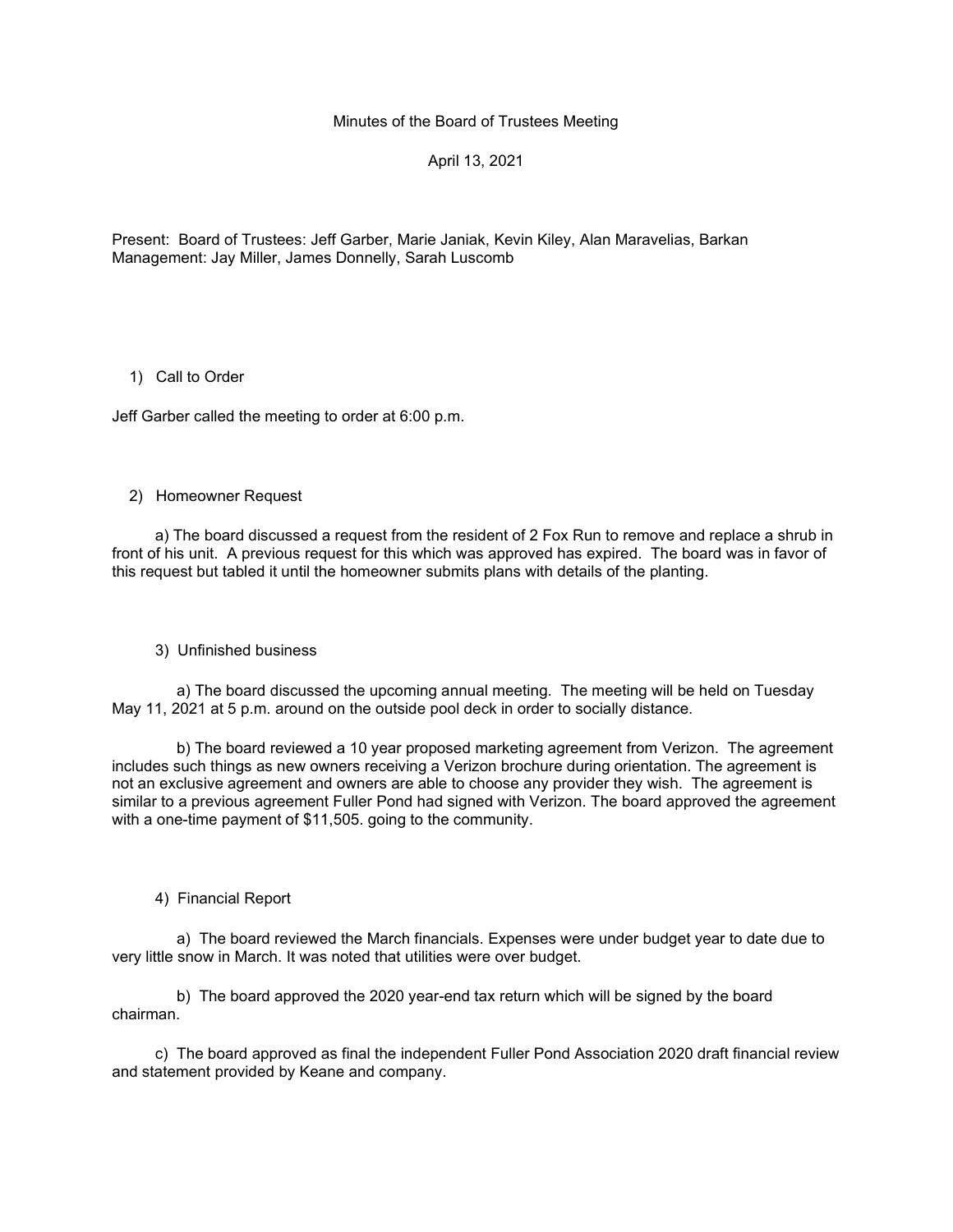Minutes of the Board of Trustees Meeting

April 13, 2021

Present: Board of Trustees: Jeff Garber, Marie Janiak, Kevin Kiley, Alan Maravelias, Barkan Management: Jay Miller, James Donnelly, Sarah Luscomb

### 1) Call to Order

Jeff Garber called the meeting to order at 6:00 p.m.

#### 2) Homeowner Request

 a) The board discussed a request from the resident of 2 Fox Run to remove and replace a shrub in front of his unit. A previous request for this which was approved has expired. The board was in favor of this request but tabled it until the homeowner submits plans with details of the planting.

### 3) Unfinished business

 a) The board discussed the upcoming annual meeting. The meeting will be held on Tuesday May 11, 2021 at 5 p.m. around on the outside pool deck in order to socially distance.

 b) The board reviewed a 10 year proposed marketing agreement from Verizon. The agreement includes such things as new owners receiving a Verizon brochure during orientation. The agreement is not an exclusive agreement and owners are able to choose any provider they wish. The agreement is similar to a previous agreement Fuller Pond had signed with Verizon. The board approved the agreement with a one-time payment of \$11,505. going to the community.

### 4) Financial Report

 a) The board reviewed the March financials. Expenses were under budget year to date due to very little snow in March. It was noted that utilities were over budget.

 b) The board approved the 2020 year-end tax return which will be signed by the board chairman.

 c) The board approved as final the independent Fuller Pond Association 2020 draft financial review and statement provided by Keane and company.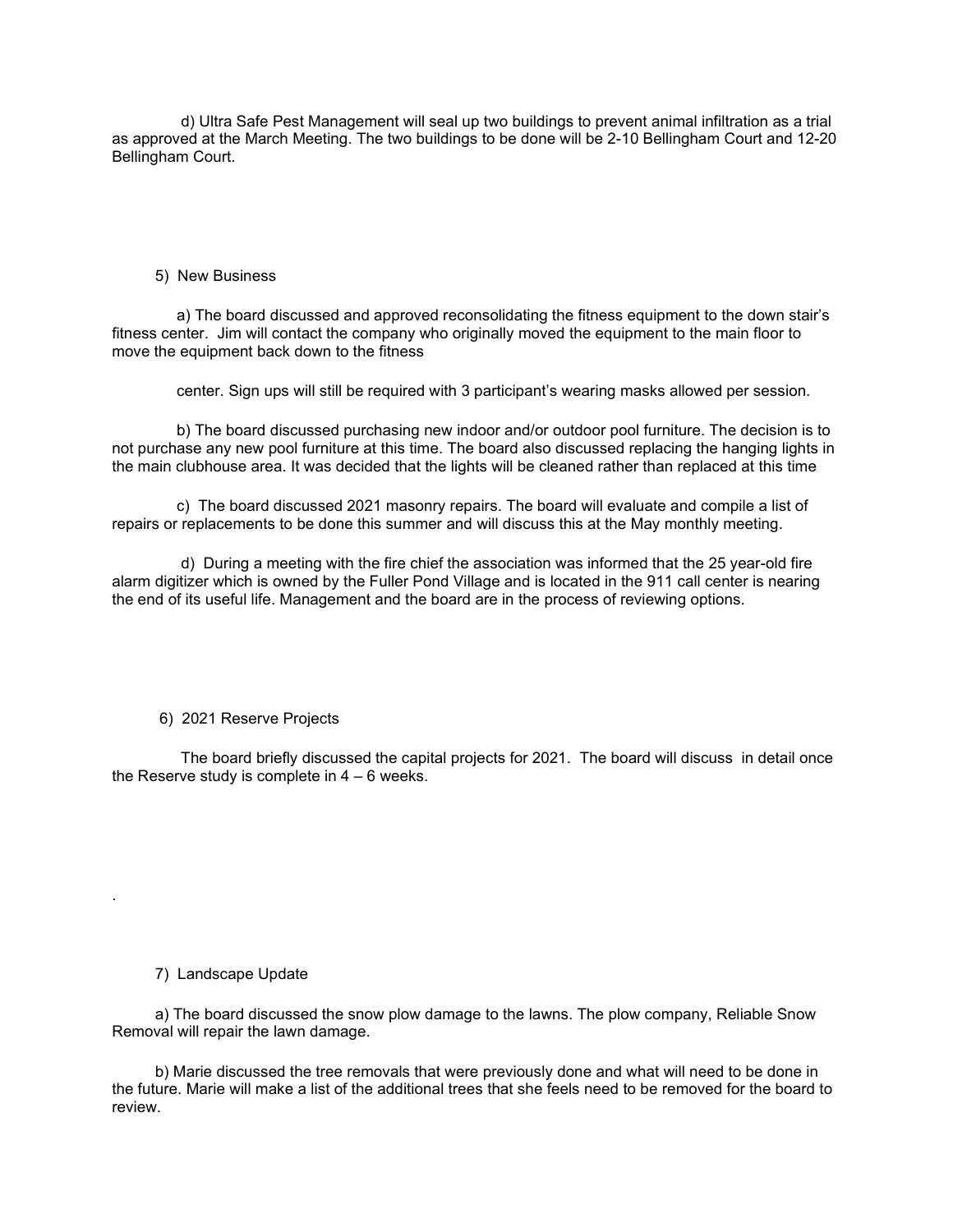d) Ultra Safe Pest Management will seal up two buildings to prevent animal infiltration as a trial as approved at the March Meeting. The two buildings to be done will be 2-10 Bellingham Court and 12-20 Bellingham Court.

5) New Business

 a) The board discussed and approved reconsolidating the fitness equipment to the down stair's fitness center. Jim will contact the company who originally moved the equipment to the main floor to move the equipment back down to the fitness

center. Sign ups will still be required with 3 participant's wearing masks allowed per session.

 b) The board discussed purchasing new indoor and/or outdoor pool furniture. The decision is to not purchase any new pool furniture at this time. The board also discussed replacing the hanging lights in the main clubhouse area. It was decided that the lights will be cleaned rather than replaced at this time

 c) The board discussed 2021 masonry repairs. The board will evaluate and compile a list of repairs or replacements to be done this summer and will discuss this at the May monthly meeting.

 d) During a meeting with the fire chief the association was informed that the 25 year-old fire alarm digitizer which is owned by the Fuller Pond Village and is located in the 911 call center is nearing the end of its useful life. Management and the board are in the process of reviewing options.

6) 2021 Reserve Projects

 The board briefly discussed the capital projects for 2021. The board will discuss in detail once the Reserve study is complete in  $4 - 6$  weeks.

7) Landscape Update

.

 a) The board discussed the snow plow damage to the lawns. The plow company, Reliable Snow Removal will repair the lawn damage.

 b) Marie discussed the tree removals that were previously done and what will need to be done in the future. Marie will make a list of the additional trees that she feels need to be removed for the board to review.